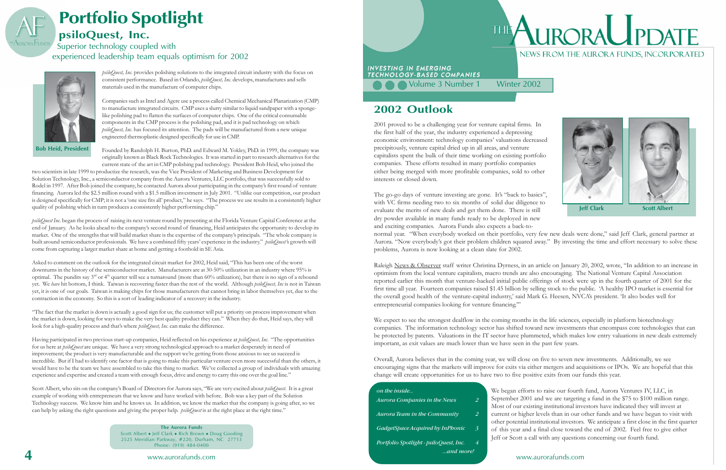## **2002 Outlook**

2001 proved to be a challenging year for venture capital firms. In the first half of the year, the industry experienced a depressing economic environment: technology companies' valuations decreased precipitously, venture capital dried up in all areas, and venture capitalists spent the bulk of their time working on existing portfolio companies. These efforts resulted in many portfolio companies either being merged with more profitable companies, sold to other interests or closed down.

We expect to see the strongest dealflow in the coming months in the life sciences, especially in platform biotechnology companies. The information technology sector has shifted toward new investments that encompass core technologies that can be protected by patents.Valuations in the IT sector have plummeted, which makes low entry valuations in new deals extremely important, as exit values are much lower than we have seen in the past few years.

two scientists in late 1999 to productize the research, was the Vice President of Marketing and Business Development for Solution Technology, Inc., a semiconductor company from the Aurora Ventures, LLC portfolio, that was successfully sold to Rodel in 1997. After Bob joined the company, he contacted Aurora about participating in the company's first round of venture financing. Aurora led the \$2.5 million round with a \$1.5 million investment in July 2001. "Unlike our competition, our product is designed specifically for CMP; it is not a 'one size fits all' product," he says. "The process we use results in a consistently higher quality of polishing which in turn produces a consistently higher performing chip."

> Overall, Aurora believes that in the coming year, we will close on five to seven new investments. Additionally, we see encouraging signs that the markets will improve for exits via either mergers and acquisitions or IPOs. We are hopeful that this change will create opportunities for us to have two to five positive exits from our funds this year.

# THE ALIRORAL PDATE NEWS FROM THE AURORA FUNDS, INCORPORATED

- 
- 
- 
- 



to raise our fourth fund, Aurora Ventures IV, LLC, in and we are targeting a fund in the \$75 to \$100 million range. ting institutional investors have indicated they will invest at levels than in our other funds and we have begun to visit with nstitutional investors. We anticipate a first close in the first quarter a final close toward the end of 2002. Feel free to give either all with any questions concerning our fourth fund.

Asked to comment on the outlook for the integrated circuit market for 2002, Heid said, "This has been one of the worst downturns in the history of the semiconductor market. Manufacturers are at 30-50% utilization in an industry where 95% is optimal. The pundits say  $3<sup>rd</sup>$  or  $4<sup>th</sup>$  quarter will see a turnaround (more than 60% utilization), but there is no sign of a rebound yet. We *have* hit bottom, I think. Taiwan is recovering faster than the rest of the world. Although *psiloQuest, Inc* is not in Taiwan yet, it is one of our goals. Taiwan is making chips for those manufacturers that cannot bring in labor themselves yet, due to the contraction in the economy. So this is a sort of leading indicator of a recovery in the industry.

ìThe fact that the market is down is actually a good sign for us; the customer will put a priority on process improvement when the market is down, looking for ways to make the very best quality product they can.î When they do that, Heid says, they will look for a high-quality process and that's where *psiloQuest*, Inc. can make the difference.

Having participated in two previous start-up companies, Heid reflected on his experience at *psiloQuest*, Inc. "The opportunities for us here at *psiloQuest* are unique. We have a very strong technological approach to a market desperately in need of improvement; the product is very manufacturable and the support we're getting from those anxious to see us succeed is incredible. But if I had to identify one factor that is going to make this particular venture even more successful than the others, it would have to be the team we have assembled to take this thing to market. We've collected a group of individuals with amazing experience and expertise and created a team with enough focus, drive and energy to carry this one over the goal line."

Scott Albert, who sits on the company's Board of Directors for Aurora says, "We are very excited about *psiloQuest*. It is a great example of working with entrepreneurs that we know and have worked with before. Bob was a key part of the Solution Technology success. We know him and he knows us. In addition, we know the market that the company is going after, so we can help by asking the right questions and giving the proper help. *psiloQuest* is at the right place at the right time."

## **Portfolio Spotlight psiloQuest, Inc.** Superior technology coupled with

experienced leadership team equals optimism for 2002

*psiloQuest, Inc*. provides polishing solutions to the integrated circuit industry with the focus on consistent performance. Based in Orlando, *psiloQuest, Inc.* develops, manufactures and sells materials used in the manufacture of computer chips.

Companies such as Intel and Agere use a process called Chemical Mechanical Planarization (CMP) to manufacture integrated circuits. CMP uses a slurry similar to liquid sandpaper with a spongelike polishing pad to flatten the surfaces of computer chips. One of the critical consumable components in the CMP process is the polishing pad, and it is pad technology on which *psiloQuest, Inc*. has focused its attention. The pads will be manufactured from a new unique engineered thermoplastic designed specifically for use in CMP.

| Directors for Aurora says, "We are very excited about <i>psiloQuest</i> . It is a great<br>now and have worked with before. Bob was a key part of the Solution<br>us. In addition, we know the market that the company is going after, so we<br>ne proper help. <i>psiloQuest</i> is at the right place at the right time." |  | on the inside                          |                       | We began efforts to raise our fourth     |
|-----------------------------------------------------------------------------------------------------------------------------------------------------------------------------------------------------------------------------------------------------------------------------------------------------------------------------|--|----------------------------------------|-----------------------|------------------------------------------|
|                                                                                                                                                                                                                                                                                                                             |  | Aurora Companies in the News           |                       | September 2001 and we are targeting      |
|                                                                                                                                                                                                                                                                                                                             |  |                                        |                       | Most of our existing institutional inve  |
|                                                                                                                                                                                                                                                                                                                             |  | Aurora Team in the Community           | $\mathbf{2}^{\prime}$ | current or higher levels than in our o   |
|                                                                                                                                                                                                                                                                                                                             |  |                                        |                       | other potential institutional investors. |
| <b>The Aurora Funds</b>                                                                                                                                                                                                                                                                                                     |  | GadgetSpace Acquired by InPhonic       |                       | of this year and a final close toward    |
| t • Jeff Clark • Rich Brown • Doug Gooding<br>dian Parkway, #220, Durham, NC 27713<br>Phone: (919) 484-0400                                                                                                                                                                                                                 |  | Portfolio Spotlight - psiloQuest, Inc. | $\overline{4}$        | Jeff or Scott a call with any questions  |
|                                                                                                                                                                                                                                                                                                                             |  |                                        | and more!             |                                          |
| www.auroratunds.com                                                                                                                                                                                                                                                                                                         |  |                                        |                       | www.aurorafunds.com                      |

The go-go days of venture investing are gone. It's "back to basics", with VC firms needing two to six months of solid due diligence to evaluate the merits of new deals and get them done. There is still dry powder available in many funds ready to be deployed in new and exciting companies. Aurora Funds also expects a back-tonormal year. "When everybody worked on their portfolio, very few new deals were done," said Jeff Clark, general partner at Aurora. "Now everybody's got their problem children squared away." By investing the time and effort necessary to solve these problems, Aurora is now looking at a clean slate for 2002. **Jeff Clark Scott Albert**

Raleigh News & Observer staff writer Christina Dyrness, in an article on January 20, 2002, wrote, "In addition to an increase in optimism from the local venture capitalists, macro trends are also encouraging. The National Venture Capital Association reported earlier this month that venture-backed initial public offerings of stock were up in the fourth quarter of 2001 for the first time all year. Fourteen companies raised \$1.45 billion by selling stock to the public. ëA healthy IPO market is essential for the overall good health of the venture-capital industry,' said Mark G. Heesen, NVCA's president. Tt also bodes well for entrepreneurial companies looking for venture financing."

Founded by Randolph H. Burton, PhD. and Edward M. Yokley, PhD. in 1999, the company was originally known as Black Rock Technologies. It was started in part to research alternatives for the current state of the art in CMP polishing pad technology. President Bob Heid, who joined the

*psiloQuest Inc.* began the process of raising its next venture round by presenting at the Florida Venture Capital Conference at the end of January. As he looks ahead to the companyís second round of financing, Heid anticipates the opportunity to develop its market. One of the strengths that will build market share is the expertise of the company's principals. "The whole company is built around semiconductor professionals. We have a combined fifty years' experience in the industry." *psiloQuest's* growth will come from capturing a larger market share at home and getting a foothold in SE Asia.



**Bob Heid, President**

### **The Aurora Funds**

Scott Albert ◆ Jeff Clark ◆ Rich Brown ◆ Doug Gooding 2525 Meridian Parkway, #220, Durham, NC 27713 Phone: (919) 484-0400



TECHNOLOGY-BASED COMPANIES

**C** Volume 3 Number 1 Winter 2002